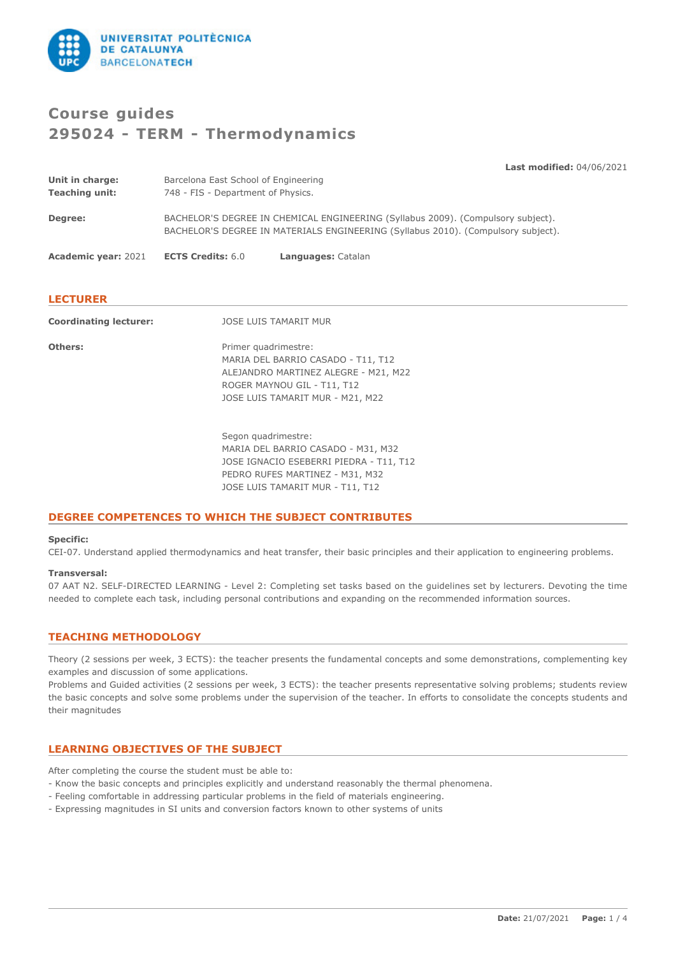

# **Course guides 295024 - TERM - Thermodynamics**

**Last modified:** 04/06/2021 **Unit in charge:** Barcelona East School of Engineering **Teaching unit:** 748 - FIS - Department of Physics. **Degree:** BACHELOR'S DEGREE IN CHEMICAL ENGINEERING (Syllabus 2009). (Compulsory subject). BACHELOR'S DEGREE IN MATERIALS ENGINEERING (Syllabus 2010). (Compulsory subject). **Academic year:** 2021 **ECTS Credits:** 6.0 **Languages:** Catalan **LECTURER Coordinating lecturer:** JOSE LUIS TAMARIT MUR

| Coordinating rectarer. | <b>UULL LUIU IAPANII PUU</b>                                                                                                                                                |
|------------------------|-----------------------------------------------------------------------------------------------------------------------------------------------------------------------------|
| Others:                | Primer quadrimestre:<br>MARIA DEL BARRIO CASADO - T11, T12<br>ALEJANDRO MARTINEZ ALEGRE - M21, M22<br>ROGER MAYNOU GIL - T11, T12<br>JOSE LUIS TAMARIT MUR - M21, M22       |
|                        | Segon quadrimestre:<br>MARIA DEL BARRIO CASADO - M31, M32<br>JOSE IGNACIO ESEBERRI PIEDRA - T11, T12<br>PEDRO RUFES MARTINEZ - M31, M32<br>JOSE LUIS TAMARIT MUR - T11, T12 |

## **DEGREE COMPETENCES TO WHICH THE SUBJECT CONTRIBUTES**

## **Specific:**

CEI-07. Understand applied thermodynamics and heat transfer, their basic principles and their application to engineering problems.

### **Transversal:**

07 AAT N2. SELF-DIRECTED LEARNING - Level 2: Completing set tasks based on the guidelines set by lecturers. Devoting the time needed to complete each task, including personal contributions and expanding on the recommended information sources.

# **TEACHING METHODOLOGY**

Theory (2 sessions per week, 3 ECTS): the teacher presents the fundamental concepts and some demonstrations, complementing key examples and discussion of some applications.

Problems and Guided activities (2 sessions per week, 3 ECTS): the teacher presents representative solving problems; students review the basic concepts and solve some problems under the supervision of the teacher. In efforts to consolidate the concepts students and their magnitudes

# **LEARNING OBJECTIVES OF THE SUBJECT**

After completing the course the student must be able to:

- Know the basic concepts and principles explicitly and understand reasonably the thermal phenomena.
- Feeling comfortable in addressing particular problems in the field of materials engineering.
- Expressing magnitudes in SI units and conversion factors known to other systems of units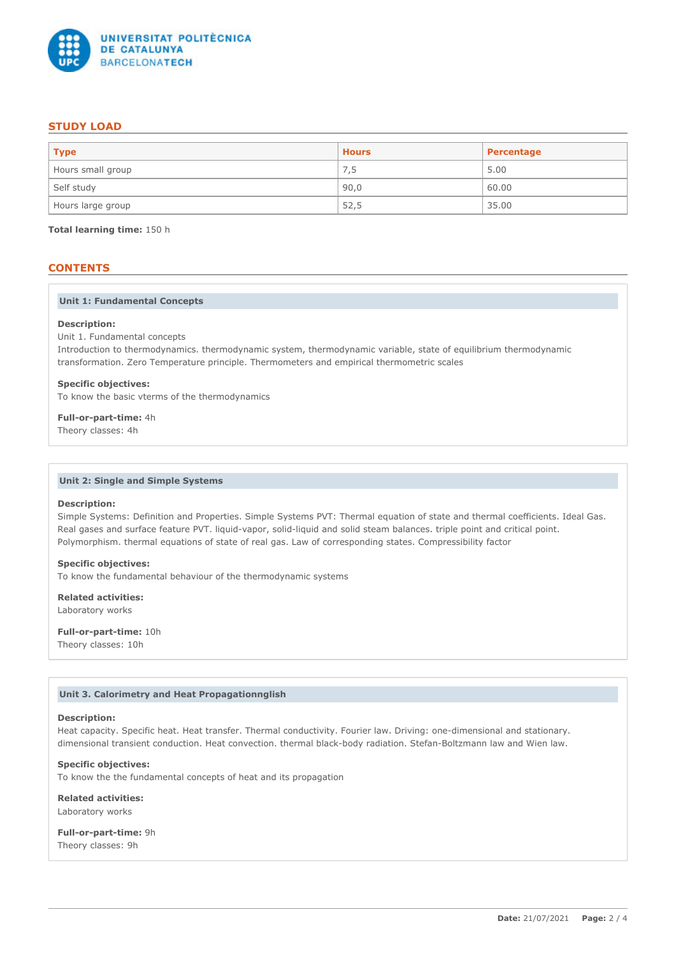

# **STUDY LOAD**

| $ $ Type          | <b>Hours</b> | Percentage |
|-------------------|--------------|------------|
| Hours small group | 7,5          | 5.00       |
| Self study        | 90,0         | 60.00      |
| Hours large group | 52,5         | 35.00      |

**Total learning time:** 150 h

# **CONTENTS**

## **Unit 1: Fundamental Concepts**

### **Description:**

Unit 1. Fundamental concepts

Introduction to thermodynamics. thermodynamic system, thermodynamic variable, state of equilibrium thermodynamic transformation. Zero Temperature principle. Thermometers and empirical thermometric scales

#### **Specific objectives:**

To know the basic vterms of the thermodynamics

**Full-or-part-time:** 4h

Theory classes: 4h

#### **Unit 2: Single and Simple Systems**

## **Description:**

Simple Systems: Definition and Properties. Simple Systems PVT: Thermal equation of state and thermal coefficients. Ideal Gas. Real gases and surface feature PVT. liquid-vapor, solid-liquid and solid steam balances. triple point and critical point. Polymorphism. thermal equations of state of real gas. Law of corresponding states. Compressibility factor

## **Specific objectives:**

To know the fundamental behaviour of the thermodynamic systems

**Related activities:** Laboratory works

**Full-or-part-time:** 10h Theory classes: 10h

## **Unit 3. Calorimetry and Heat Propagationnglish**

## **Description:**

Heat capacity. Specific heat. Heat transfer. Thermal conductivity. Fourier law. Driving: one-dimensional and stationary. dimensional transient conduction. Heat convection. thermal black-body radiation. Stefan-Boltzmann law and Wien law.

## **Specific objectives:**

To know the the fundamental concepts of heat and its propagation

**Related activities:** Laboratory works

**Full-or-part-time:** 9h Theory classes: 9h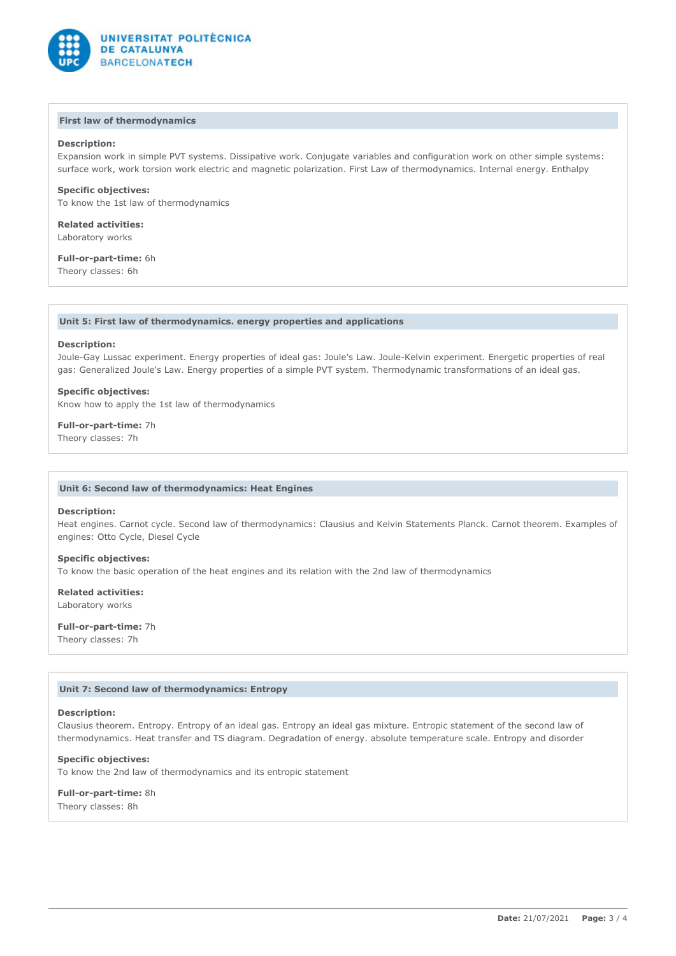

### **First law of thermodynamics**

## **Description:**

Expansion work in simple PVT systems. Dissipative work. Conjugate variables and configuration work on other simple systems: surface work, work torsion work electric and magnetic polarization. First Law of thermodynamics. Internal energy. Enthalpy

## **Specific objectives:**

To know the 1st law of thermodynamics

**Related activities:** Laboratory works

# **Full-or-part-time:** 6h

Theory classes: 6h

### **Unit 5: First law of thermodynamics. energy properties and applications**

## **Description:**

Joule-Gay Lussac experiment. Energy properties of ideal gas: Joule's Law. Joule-Kelvin experiment. Energetic properties of real gas: Generalized Joule's Law. Energy properties of a simple PVT system. Thermodynamic transformations of an ideal gas.

## **Specific objectives:**

Know how to apply the 1st law of thermodynamics

**Full-or-part-time:** 7h

Theory classes: 7h

### **Unit 6: Second law of thermodynamics: Heat Engines**

#### **Description:**

Heat engines. Carnot cycle. Second law of thermodynamics: Clausius and Kelvin Statements Planck. Carnot theorem. Examples of engines: Otto Cycle, Diesel Cycle

#### **Specific objectives:**

To know the basic operation of the heat engines and its relation with the 2nd law of thermodynamics

## **Related activities:** Laboratory works

**Full-or-part-time:** 7h Theory classes: 7h

## **Unit 7: Second law of thermodynamics: Entropy**

#### **Description:**

Clausius theorem. Entropy. Entropy of an ideal gas. Entropy an ideal gas mixture. Entropic statement of the second law of thermodynamics. Heat transfer and TS diagram. Degradation of energy. absolute temperature scale. Entropy and disorder

#### **Specific objectives:**

To know the 2nd law of thermodynamics and its entropic statement

**Full-or-part-time:** 8h Theory classes: 8h